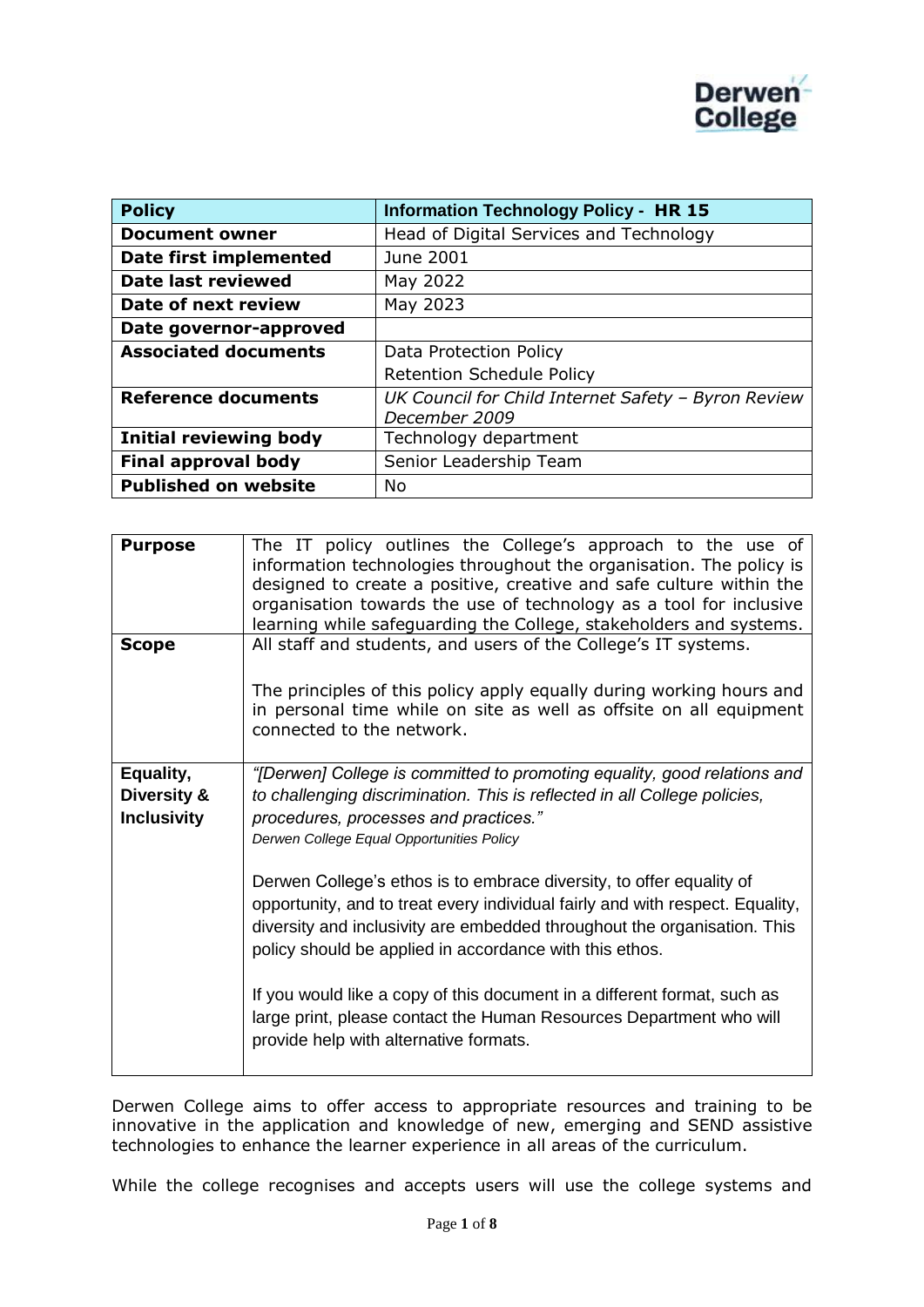

| <b>Policy</b>                 | <b>Information Technology Policy - HR 15</b>                         |
|-------------------------------|----------------------------------------------------------------------|
| <b>Document owner</b>         | Head of Digital Services and Technology                              |
| Date first implemented        | June 2001                                                            |
| Date last reviewed            | May 2022                                                             |
| Date of next review           | May 2023                                                             |
| Date governor-approved        |                                                                      |
| <b>Associated documents</b>   | Data Protection Policy                                               |
|                               | <b>Retention Schedule Policy</b>                                     |
| <b>Reference documents</b>    | UK Council for Child Internet Safety - Byron Review<br>December 2009 |
| <b>Initial reviewing body</b> | Technology department                                                |
| <b>Final approval body</b>    | Senior Leadership Team                                               |
| <b>Published on website</b>   | No                                                                   |

| <b>Purpose</b>                                 | The IT policy outlines the College's approach to the use of<br>information technologies throughout the organisation. The policy is<br>designed to create a positive, creative and safe culture within the<br>organisation towards the use of technology as a tool for inclusive<br>learning while safeguarding the College, stakeholders and systems.                                                                                                                                                                                                                                                                                                                                                                                    |
|------------------------------------------------|------------------------------------------------------------------------------------------------------------------------------------------------------------------------------------------------------------------------------------------------------------------------------------------------------------------------------------------------------------------------------------------------------------------------------------------------------------------------------------------------------------------------------------------------------------------------------------------------------------------------------------------------------------------------------------------------------------------------------------------|
| <b>Scope</b>                                   | All staff and students, and users of the College's IT systems.<br>The principles of this policy apply equally during working hours and<br>in personal time while on site as well as offsite on all equipment<br>connected to the network.                                                                                                                                                                                                                                                                                                                                                                                                                                                                                                |
| Equality,<br>Diversity &<br><b>Inclusivity</b> | "[Derwen] College is committed to promoting equality, good relations and<br>to challenging discrimination. This is reflected in all College policies,<br>procedures, processes and practices."<br>Derwen College Equal Opportunities Policy<br>Derwen College's ethos is to embrace diversity, to offer equality of<br>opportunity, and to treat every individual fairly and with respect. Equality,<br>diversity and inclusivity are embedded throughout the organisation. This<br>policy should be applied in accordance with this ethos.<br>If you would like a copy of this document in a different format, such as<br>large print, please contact the Human Resources Department who will<br>provide help with alternative formats. |

Derwen College aims to offer access to appropriate resources and training to be innovative in the application and knowledge of new, emerging and SEND assistive technologies to enhance the learner experience in all areas of the curriculum.

While the college recognises and accepts users will use the college systems and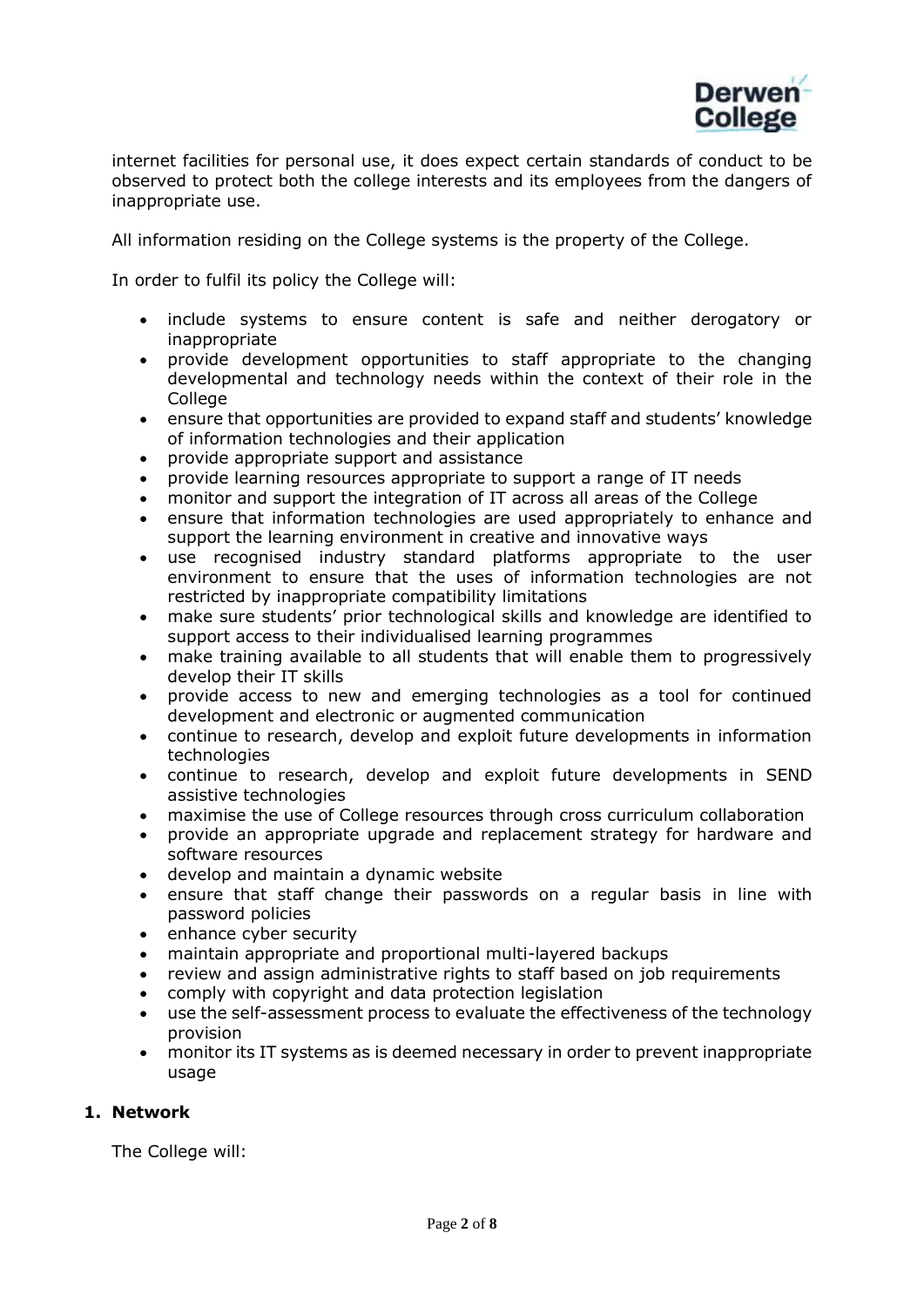

internet facilities for personal use, it does expect certain standards of conduct to be observed to protect both the college interests and its employees from the dangers of inappropriate use.

All information residing on the College systems is the property of the College.

In order to fulfil its policy the College will:

- include systems to ensure content is safe and neither derogatory or inappropriate
- provide development opportunities to staff appropriate to the changing developmental and technology needs within the context of their role in the College
- ensure that opportunities are provided to expand staff and students' knowledge of information technologies and their application
- provide appropriate support and assistance
- provide learning resources appropriate to support a range of IT needs
- monitor and support the integration of IT across all areas of the College
- ensure that information technologies are used appropriately to enhance and support the learning environment in creative and innovative ways
- use recognised industry standard platforms appropriate to the user environment to ensure that the uses of information technologies are not restricted by inappropriate compatibility limitations
- make sure students' prior technological skills and knowledge are identified to support access to their individualised learning programmes
- make training available to all students that will enable them to progressively develop their IT skills
- provide access to new and emerging technologies as a tool for continued development and electronic or augmented communication
- continue to research, develop and exploit future developments in information technologies
- continue to research, develop and exploit future developments in SEND assistive technologies
- maximise the use of College resources through cross curriculum collaboration
- provide an appropriate upgrade and replacement strategy for hardware and software resources
- develop and maintain a dynamic website
- ensure that staff change their passwords on a regular basis in line with password policies
- enhance cyber security
- maintain appropriate and proportional multi-layered backups
- review and assign administrative rights to staff based on job requirements
- comply with copyright and data protection legislation
- use the self-assessment process to evaluate the effectiveness of the technology provision
- monitor its IT systems as is deemed necessary in order to prevent inappropriate usage

# **1. Network**

The College will: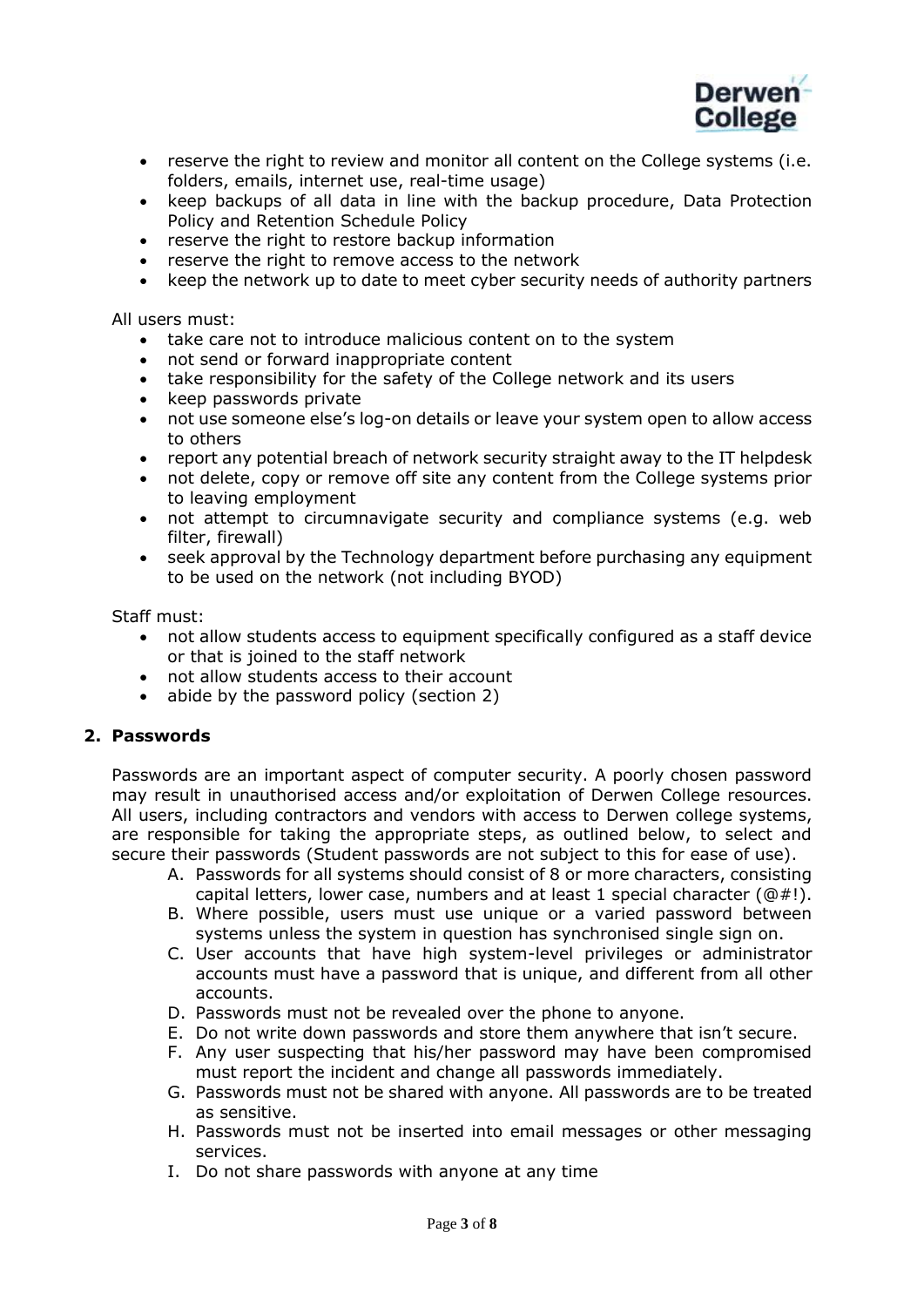

- reserve the right to review and monitor all content on the College systems (i.e. folders, emails, internet use, real-time usage)
- keep backups of all data in line with the backup procedure, Data Protection Policy and Retention Schedule Policy
- reserve the right to restore backup information
- reserve the right to remove access to the network
- keep the network up to date to meet cyber security needs of authority partners

All users must:

- take care not to introduce malicious content on to the system
- not send or forward inappropriate content
- take responsibility for the safety of the College network and its users
- keep passwords private
- not use someone else's log-on details or leave your system open to allow access to others
- report any potential breach of network security straight away to the IT helpdesk
- not delete, copy or remove off site any content from the College systems prior to leaving employment
- not attempt to circumnavigate security and compliance systems (e.g. web filter, firewall)
- seek approval by the Technology department before purchasing any equipment to be used on the network (not including BYOD)

Staff must:

- not allow students access to equipment specifically configured as a staff device or that is joined to the staff network
- not allow students access to their account
- abide by the password policy (section 2)

#### **2. Passwords**

Passwords are an important aspect of computer security. A poorly chosen password may result in unauthorised access and/or exploitation of Derwen College resources. All users, including contractors and vendors with access to Derwen college systems, are responsible for taking the appropriate steps, as outlined below, to select and secure their passwords (Student passwords are not subject to this for ease of use).

- A. Passwords for all systems should consist of 8 or more characters, consisting capital letters, lower case, numbers and at least 1 special character  $(\text{@} \#!)$ .
- B. Where possible, users must use unique or a varied password between systems unless the system in question has synchronised single sign on.
- C. User accounts that have high system-level privileges or administrator accounts must have a password that is unique, and different from all other accounts.
- D. Passwords must not be revealed over the phone to anyone.
- E. Do not write down passwords and store them anywhere that isn't secure.
- F. Any user suspecting that his/her password may have been compromised must report the incident and change all passwords immediately.
- G. Passwords must not be shared with anyone. All passwords are to be treated as sensitive.
- H. Passwords must not be inserted into email messages or other messaging services.
- I. Do not share passwords with anyone at any time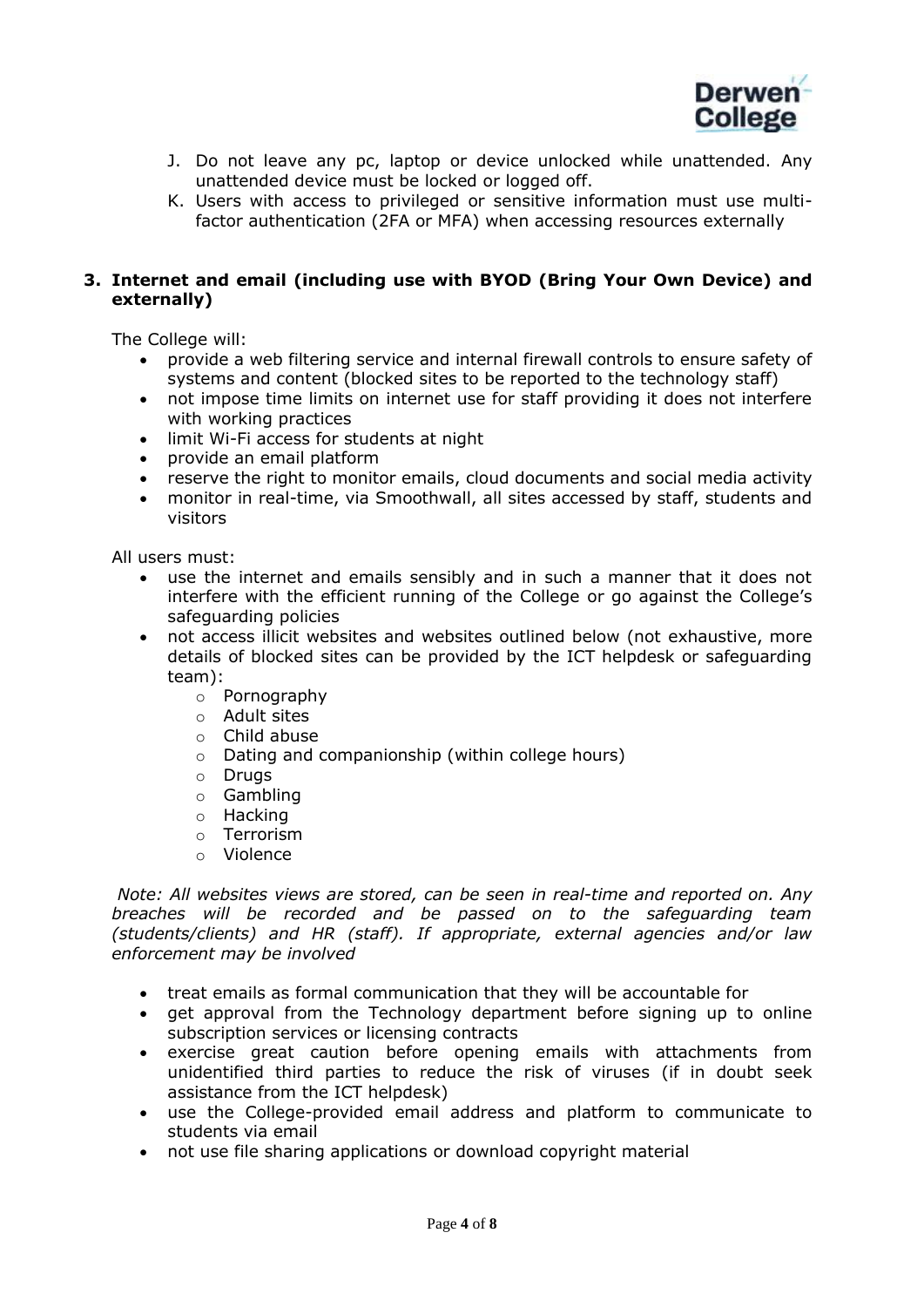

- J. Do not leave any pc, laptop or device unlocked while unattended. Any unattended device must be locked or logged off.
- K. Users with access to privileged or sensitive information must use multifactor authentication (2FA or MFA) when accessing resources externally

# **3. Internet and email (including use with BYOD (Bring Your Own Device) and externally)**

The College will:

- provide a web filtering service and internal firewall controls to ensure safety of systems and content (blocked sites to be reported to the technology staff)
- not impose time limits on internet use for staff providing it does not interfere with working practices
- limit Wi-Fi access for students at night
- provide an email platform
- reserve the right to monitor emails, cloud documents and social media activity
- monitor in real-time, via Smoothwall, all sites accessed by staff, students and visitors

All users must:

- use the internet and emails sensibly and in such a manner that it does not interfere with the efficient running of the College or go against the College's safeguarding policies
- not access illicit websites and websites outlined below (not exhaustive, more details of blocked sites can be provided by the ICT helpdesk or safeguarding team):
	- o Pornography
	- o Adult sites
	- o Child abuse
	- o Dating and companionship (within college hours)
	- o Drugs
	- o Gambling
	- o Hacking
	- o Terrorism
	- o Violence

*Note: All websites views are stored, can be seen in real-time and reported on. Any breaches will be recorded and be passed on to the safeguarding team (students/clients) and HR (staff). If appropriate, external agencies and/or law enforcement may be involved* 

- treat emails as formal communication that they will be accountable for
- get approval from the Technology department before signing up to online subscription services or licensing contracts
- exercise great caution before opening emails with attachments from unidentified third parties to reduce the risk of viruses (if in doubt seek assistance from the ICT helpdesk)
- use the College-provided email address and platform to communicate to students via email
- not use file sharing applications or download copyright material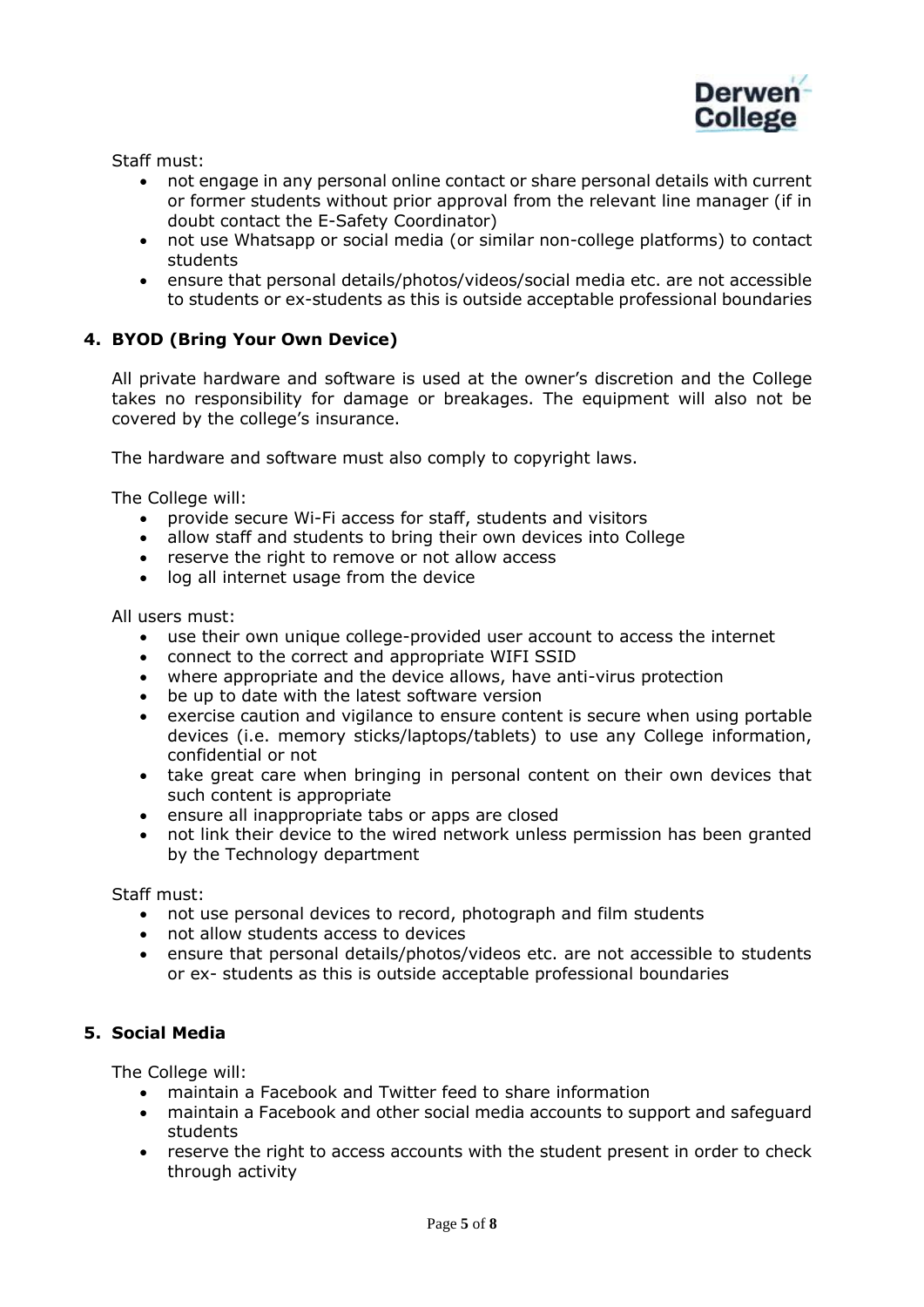

Staff must:

- not engage in any personal online contact or share personal details with current or former students without prior approval from the relevant line manager (if in doubt contact the E-Safety Coordinator)
- not use Whatsapp or social media (or similar non-college platforms) to contact students
- ensure that personal details/photos/videos/social media etc. are not accessible to students or ex-students as this is outside acceptable professional boundaries

# **4. BYOD (Bring Your Own Device)**

All private hardware and software is used at the owner's discretion and the College takes no responsibility for damage or breakages. The equipment will also not be covered by the college's insurance.

The hardware and software must also comply to copyright laws.

The College will:

- provide secure Wi-Fi access for staff, students and visitors
- allow staff and students to bring their own devices into College
- reserve the right to remove or not allow access
- log all internet usage from the device

All users must:

- use their own unique college-provided user account to access the internet
- connect to the correct and appropriate WIFI SSID
- where appropriate and the device allows, have anti-virus protection
- be up to date with the latest software version
- exercise caution and vigilance to ensure content is secure when using portable devices (i.e. memory sticks/laptops/tablets) to use any College information, confidential or not
- take great care when bringing in personal content on their own devices that such content is appropriate
- ensure all inappropriate tabs or apps are closed
- not link their device to the wired network unless permission has been granted by the Technology department

Staff must:

- not use personal devices to record, photograph and film students
- not allow students access to devices
- ensure that personal details/photos/videos etc. are not accessible to students or ex- students as this is outside acceptable professional boundaries

# **5. Social Media**

The College will:

- maintain a Facebook and Twitter feed to share information
- maintain a Facebook and other social media accounts to support and safeguard students
- reserve the right to access accounts with the student present in order to check through activity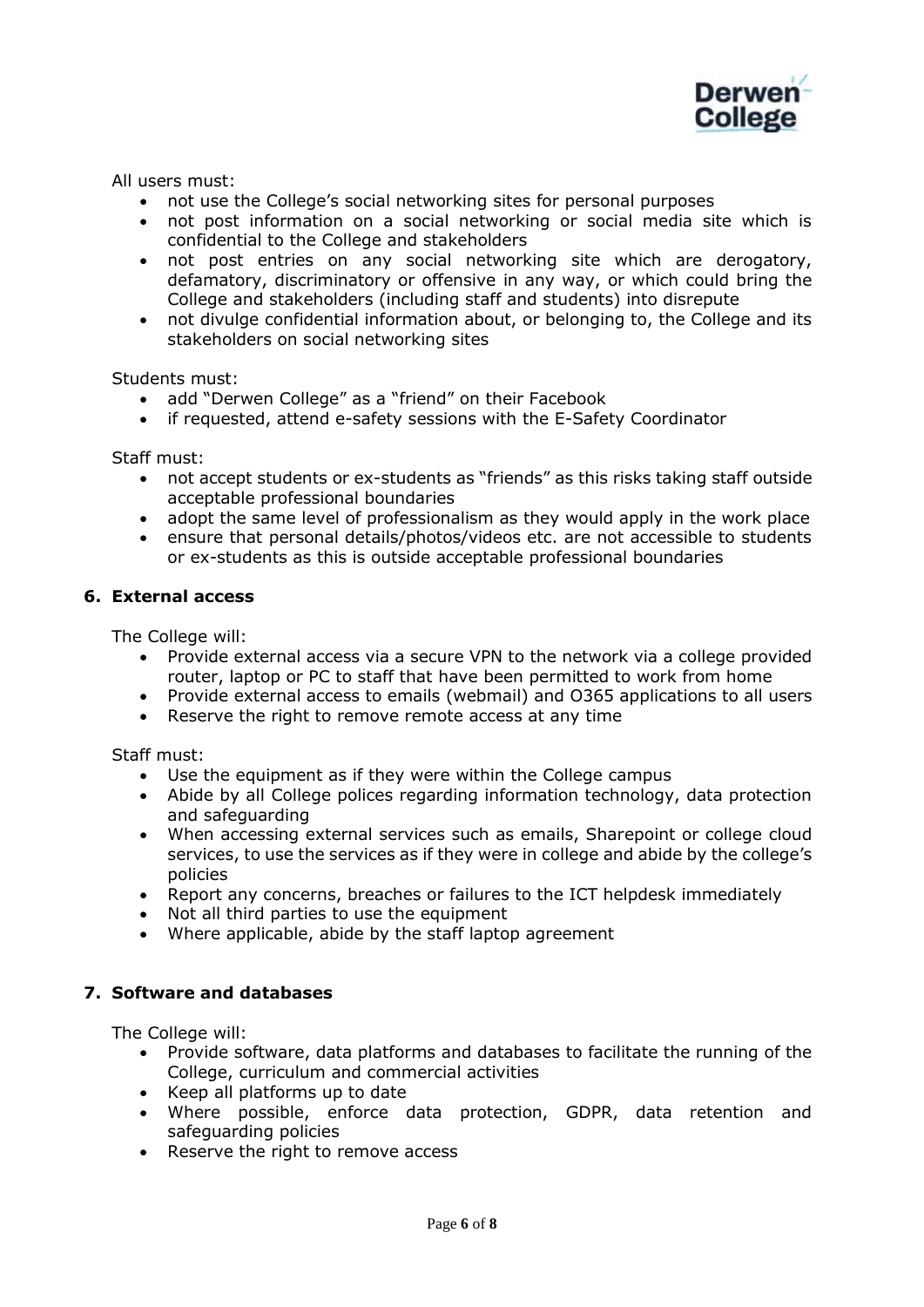

All users must:

- not use the College's social networking sites for personal purposes
- not post information on a social networking or social media site which is confidential to the College and stakeholders
- not post entries on any social networking site which are derogatory, defamatory, discriminatory or offensive in any way, or which could bring the College and stakeholders (including staff and students) into disrepute
- not divulge confidential information about, or belonging to, the College and its stakeholders on social networking sites

Students must:

- add "Derwen College" as a "friend" on their Facebook
- if requested, attend e-safety sessions with the E-Safety Coordinator

Staff must:

- not accept students or ex-students as "friends" as this risks taking staff outside acceptable professional boundaries
- adopt the same level of professionalism as they would apply in the work place
- ensure that personal details/photos/videos etc. are not accessible to students or ex-students as this is outside acceptable professional boundaries

#### **6. External access**

The College will:

- Provide external access via a secure VPN to the network via a college provided router, laptop or PC to staff that have been permitted to work from home
- Provide external access to emails (webmail) and O365 applications to all users
- Reserve the right to remove remote access at any time

Staff must:

- Use the equipment as if they were within the College campus
- Abide by all College polices regarding information technology, data protection and safeguarding
- When accessing external services such as emails, Sharepoint or college cloud services, to use the services as if they were in college and abide by the college's policies
- Report any concerns, breaches or failures to the ICT helpdesk immediately
- Not all third parties to use the equipment
- Where applicable, abide by the staff laptop agreement

## **7. Software and databases**

The College will:

- Provide software, data platforms and databases to facilitate the running of the College, curriculum and commercial activities
- Keep all platforms up to date
- Where possible, enforce data protection, GDPR, data retention and safeguarding policies
- Reserve the right to remove access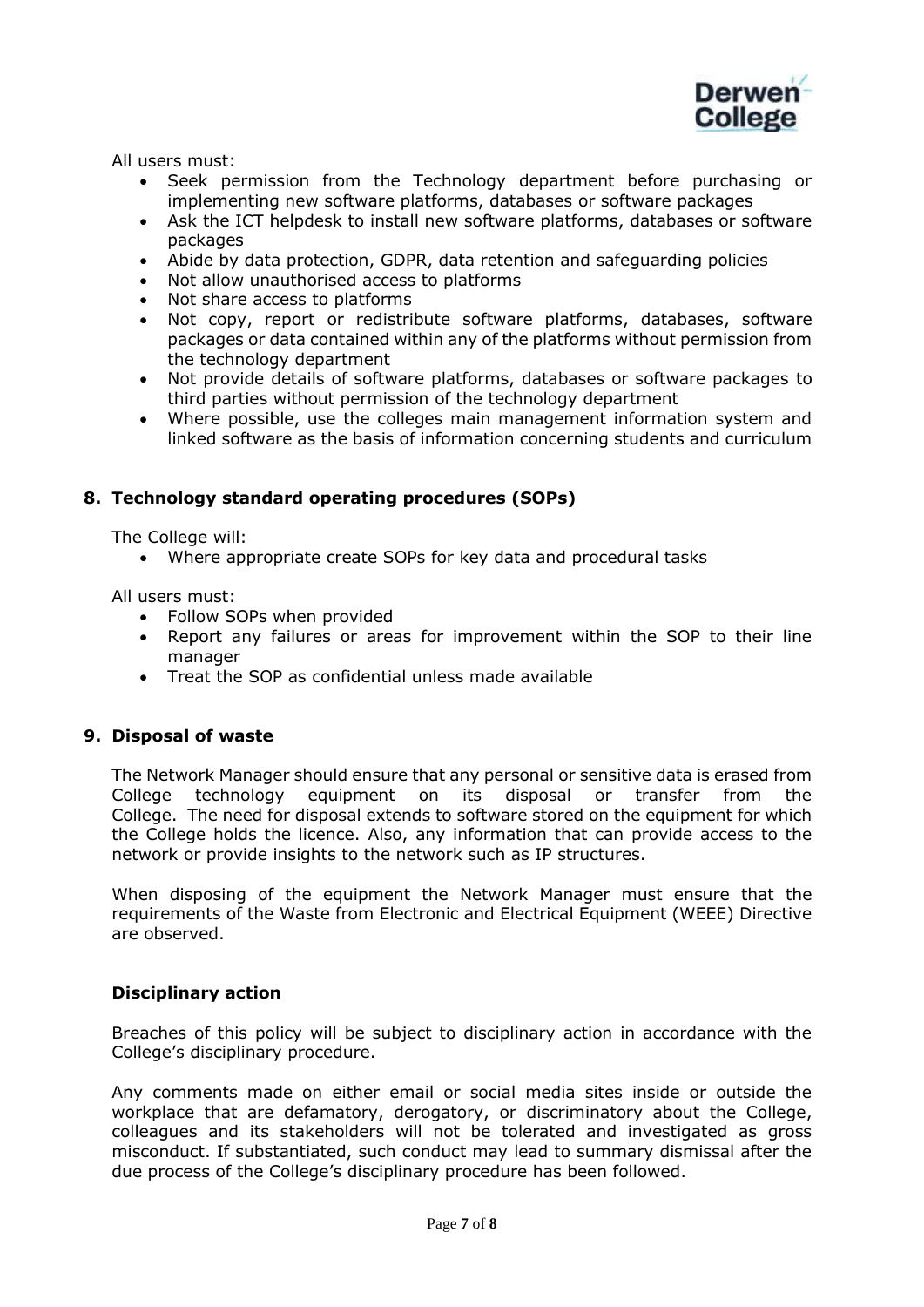

All users must:

- Seek permission from the Technology department before purchasing or implementing new software platforms, databases or software packages
- Ask the ICT helpdesk to install new software platforms, databases or software packages
- Abide by data protection, GDPR, data retention and safeguarding policies
- Not allow unauthorised access to platforms
- Not share access to platforms
- Not copy, report or redistribute software platforms, databases, software packages or data contained within any of the platforms without permission from the technology department
- Not provide details of software platforms, databases or software packages to third parties without permission of the technology department
- Where possible, use the colleges main management information system and linked software as the basis of information concerning students and curriculum

## **8. Technology standard operating procedures (SOPs)**

The College will:

• Where appropriate create SOPs for key data and procedural tasks

All users must:

- Follow SOPs when provided
- Report any failures or areas for improvement within the SOP to their line manager
- Treat the SOP as confidential unless made available

## **9. Disposal of waste**

The Network Manager should ensure that any personal or sensitive data is erased from College technology equipment on its disposal or transfer from the College. The need for disposal extends to software stored on the equipment for which the College holds the licence. Also, any information that can provide access to the network or provide insights to the network such as IP structures.

When disposing of the equipment the Network Manager must ensure that the requirements of the Waste from Electronic and Electrical Equipment (WEEE) Directive are observed.

#### **Disciplinary action**

Breaches of this policy will be subject to disciplinary action in accordance with the College's disciplinary procedure.

Any comments made on either email or social media sites inside or outside the workplace that are defamatory, derogatory, or discriminatory about the College, colleagues and its stakeholders will not be tolerated and investigated as gross misconduct. If substantiated, such conduct may lead to summary dismissal after the due process of the College's disciplinary procedure has been followed.